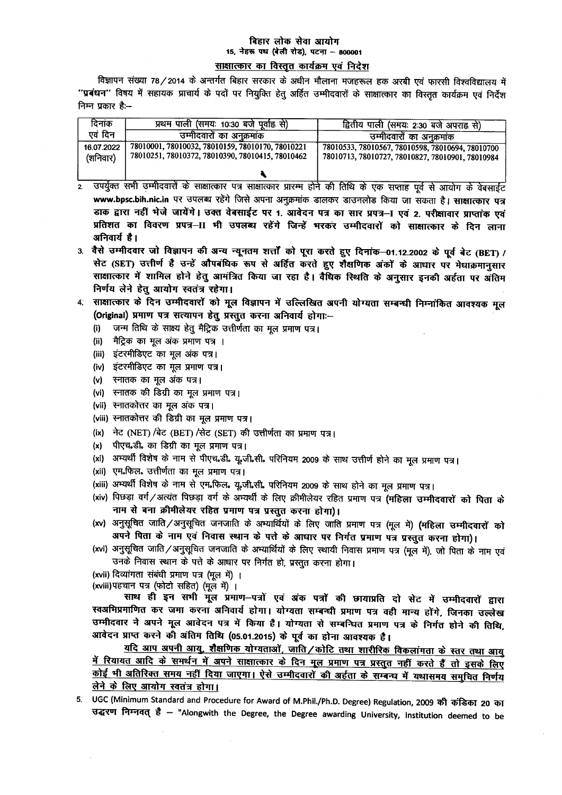## बिहार लोक सेवा आयोग 15, नेहरू पथ (बेली रोड), पटना - 800001

साक्षात्कार का विस्तृत कार्यक्रम एवं निदेश

विज्ञापन संख्या 78/2014 के अन्तर्गत बिहार सरकार के अधीन मौलाना मजहरूल हक अरबी एवं फारसी विश्वविद्यालय में "प्रबंधन" विषय में सहायक प्राचार्य के पदों पर नियुक्ति हेतु अर्हित उम्मीदवारों के साक्षात्कार का विस्तृत कार्यक्रम एवं निर्देश निम्न प्रकार है:--

| दिनांक                 | प्रथम पाली (समयः 10:30 बजे पूर्वाह्न से)                                                             | द्वितीय पाली (समयः 2ः30 बजे अपराह्न से)                                                              |
|------------------------|------------------------------------------------------------------------------------------------------|------------------------------------------------------------------------------------------------------|
| एवं दिन                | उम्मीदवारों का अनुक्रमांक                                                                            | उम्मीदवारों का अनुक्रमांक                                                                            |
| 16.07.2022<br>(शनिवार) | 78010001, 78010032, 78010159, 78010170, 78010221<br>78010251, 78010372, 78010390, 78010415, 78010462 | 78010533, 78010567, 78010598, 78010694, 78010700<br>78010713, 78010727, 78010827, 78010901, 78010984 |
|                        |                                                                                                      |                                                                                                      |

- , उपर्युक्त सभी उम्मीदवारों के साक्षात्कार पत्र साक्षात्कार प्रारम्भ होने की तिथि के एक सप्ताह पूर्व से आयोग के वेबसाईट  $\overline{2}$ www.bpsc.bih.nic.in पर उपलब्ध रहेंगे जिसे अपना अनुक्रमांक डालकर डाउनलोड किया जा सकता है। साक्षात्कार पत्र डाक द्वारा नहीं भेजे जायेंगे। उक्त वेबसाईट पर 1. आवेदन पत्र का सार प्रपत्र-। एवं 2. परीक्षावार प्राप्तांक एवं प्रतिशत का विवरण प्रपत्र-II भी उपलब्ध रहेंगे जिन्हें भरकर उम्मीदवारों को साक्षात्कार के दिन लाना अनिवार्य है।
- 3. वैसे उम्मीदवार जो विज्ञापन की अन्य न्यूनतम शर्त्तों को पूरा करते हुए दिनांक-01.12.2002 के पूर्व बेट (BET) / सेट (SET) उत्तीर्ण है उन्हें औपबंधिक रूप से अर्हित करते हुए शैक्षणिक अंकों के आधार पर मेधाक्रमानुसार साक्षात्कार में शामिल होने हेतु आमंत्रित किया जा रहा है। वैधिक स्थिति के अनुसार इनकी अर्हता पर अंतिम निर्णय लेने हेतु आयोग स्वतंत्र रहेगा।
- 4. साक्षात्कार के दिन उम्मीदवारों को मूल विज्ञापन में उल्लिखित अपनी योग्यता सम्बन्धी निम्नांकित आवश्यक मूल (Original) प्रमाण पत्र सत्यापन हेतू प्रस्तुत करना अनिवार्य होगाः-
	- जन्म तिथि के साक्ष्य हेतू मैट्रिक उत्तीर्णता का मूल प्रमाण पत्र।  $(i)$
	- मैट्रिक का मूल अंक प्रमाण पत्र ।  $(ii)$
	- (iii) इंटरमीडिएट का मूल अंक पत्र।
	- (iv) इंटरमीडिएट का मूल प्रमाण पत्र।
	- (v) स्नातक का मूल अंक पत्र।
	- (vi) स्नातक की डिग्री का मूल प्रमाण पत्र।
	- (vii) स्नातकोत्तर का मूल अंक पत्र।
	- (viii) स्नातकोत्तर की डिग्री का मूल प्रमाण पत्र।
	- (ix) नेट (NET) /बेट (BET) /सेट (SET) की उत्तीर्णता का प्रमाण पत्र।
	- पीएच.डी. का डिग्री का मूल प्रमाण पत्र।  $(x)$
	- (xi) अभ्यर्थी विशेष के नाम से पीएच.डी. यू.जी.सी. परिनियम 2009 के साथ उत्तीर्ण होने का मूल प्रमाण पत्र।
	- (xii) एम.फिल. उत्तीर्णता का मूल प्रमाण पत्र।
	- (xiii) अभ्यर्थी विशेष के नाम से एम.फिल. यू.जी.सी. परिनियम 2009 के साथ होने का मूल प्रमाण पत्र।
	- (xiv) पिछड़ा वर्ग/अत्यंत पिछड़ा वर्ग के अभ्यर्थी के लिए क्रीमीलेयर रहित प्रमाण पत्र (महिला उम्मीदवारों को पिता के नाम से बना क्रीमीलेयर रहित प्रमाण पत्र प्रस्तुत करना होगा)।
	- (xv) अनुसूचित जाति / अनुसूचित जनजाति के अभ्यार्थियों के लिए जाति प्रमाण पत्र (मूल में) (महिला उम्मीदवारों को अपने पिता के नाम एवं निवास स्थान के पत्ते के आधार पर निर्गत प्रमाण पत्र प्रस्तुत करना होगा)।
	- (xvi) अनुसूचित जाति/अनुसूचित जनजाति के अभ्यार्थियों के लिए स्थायी निवास प्रमाण पत्र (मूल में), जो पिता के नाम एवं उनके निवास स्थान के पत्ते के आधार पर निर्गत हो, प्रस्तुत करना होगा।

(xvii) दिव्यांगता संबंधी प्रमाण पत्र (मल में) ।

(xviii) पहचान पत्र (फोटो सहित) (मूल में) ।

साथ ही इन सभी मूल प्रमाण-पत्रों एवं अंक पत्रों की छायाप्रति दो सेट में उम्मीदवारों द्वारा स्वअभिप्रमाणित कर जमा करना अनिवार्य होगा। योग्यता सम्बन्धी प्रमाण पत्र वही मान्य होंगे, जिनका उल्लेख उम्मीदवार ने अपने मूल आवेदन पत्र में किया है। योग्यता से सम्बन्धित प्रमाण पत्र के निर्गत होने की तिथि, आवेदन प्राप्त करने की अंतिम तिथि (05.01.2015) के पूर्व का होना आवश्यक है।

यदि आप अपनी आयु, शैक्षणिक योग्यताओं, जाति/कोटि तथा शारीरिक विकलांगता के स्तर तथा आयु <u>में रियायत आदि के समर्थन में अपने साक्षात्कार के दिन मूल प्रमाण पत्र प्रस्तुत नहीं करते हैं तो इसके लिए</u> कोई भी अतिरिक्त समय नहीं दिया जाएगा। ऐसे उम्मीदवारों की अर्हता के सम्बन्ध में यथासमय समुचित निर्णय लेने के लिए आयोग स्वतंत्र होगा।

5. UGC (Minimum Standard and Procedure for Award of M.Phil./Ph.D. Degree) Regulation, 2009 की कंडिका 20 का उद्धरण निम्नवत् है - "Alongwith the Degree, the Degree awarding University, Institution deemed to be